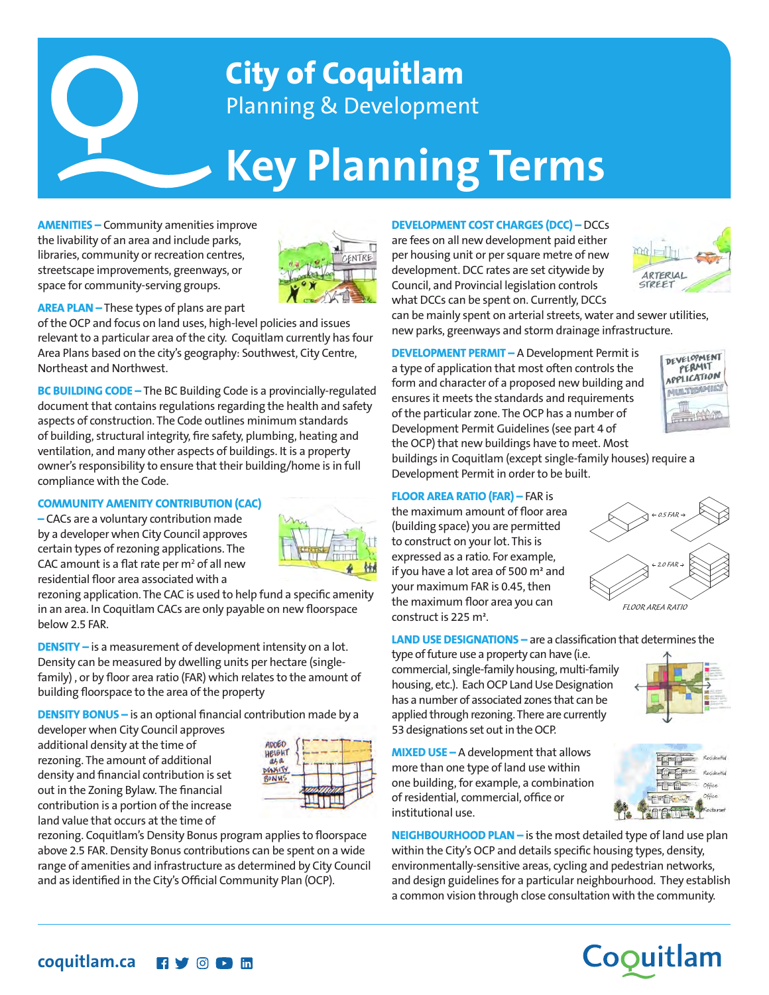

# **Key Planning Terms**

**AMENITIES –** Community amenities improve the livability of an area and include parks, libraries, community or recreation centres, streetscape improvements, greenways, or space for community-serving groups.



**AREA PLAN –** These types of plans are part

of the OCP and focus on land uses, high-level policies and issues relevant to a particular area of the city. Coquitlam currently has four Area Plans based on the city's geography: Southwest, City Centre, Northeast and Northwest.

**BC BUILDING CODE –** The BC Building Code is a provincially-regulated document that contains regulations regarding the health and safety aspects of construction. The Code outlines minimum standards of building, structural integrity, fire safety, plumbing, heating and ventilation, and many other aspects of buildings. It is a property owner's responsibility to ensure that their building/home is in full compliance with the Code.

### **COMMUNITY AMENITY CONTRIBUTION (CAC)**

**–** CACs are a voluntary contribution made by a developer when City Council approves certain types of rezoning applications. The CAC amount is a flat rate per  $m^2$  of all new residential floor area associated with a



rezoning application. The CAC is used to help fund a specific amenity in an area. In Coquitlam CACs are only payable on new floorspace below 2.5 FAR.

**DENSITY –** is a measurement of development intensity on a lot. Density can be measured by dwelling units per hectare (singlefamily) , or by floor area ratio (FAR) which relates to the amount of building floorspace to the area of the property

**DENSITY BONUS** – is an optional financial contribution made by a

developer when City Council approves additional density at the time of rezoning. The amount of additional density and financial contribution is set out in the Zoning Bylaw. The financial contribution is a portion of the increase land value that occurs at the time of



rezoning. Coquitlam's Density Bonus program applies to floorspace above 2.5 FAR. Density Bonus contributions can be spent on a wide range of amenities and infrastructure as determined by City Council and as identified in the City's Official Community Plan (OCP).

#### **DEVELOPMENT COST CHARGES (DCC) –** DCCs

are fees on all new development paid either per housing unit or per square metre of new development. DCC rates are set citywide by Council, and Provincial legislation controls what DCCs can be spent on. Currently, DCCs



can be mainly spent on arterial streets, water and sewer utilities, new parks, greenways and storm drainage infrastructure.

**DEVELOPMENT PERMIT –** A Development Permit is a type of application that most often controls the form and character of a proposed new building and ensures it meets the standards and requirements of the particular zone. The OCP has a number of Development Permit Guidelines (see part 4 of the OCP) that new buildings have to meet. Most buildings in Coquitlam (except single-family houses) require a



#### **FLOOR AREA RATIO (FAR) –** FAR is

Development Permit in order to be built.

the maximum amount of floor area (building space) you are permitted to construct on your lot. This is expressed as a ratio. For example, if you have a lot area of 500 m² and your maximum FAR is 0.45, then the maximum floor area you can construct is 225 m².



*FLOOR AREA RATIO*

**LAND USE DESIGNATIONS –** are a classification that determines the

type of future use a property can have (i.e. commercial, single-family housing, multi-family housing, etc.). Each OCP Land Use Designation has a number of associated zones that can be applied through rezoning. There are currently 53 designations set out in the OCP.

**MIXED USE –** A development that allows more than one type of land use within one building, for example, a combination of residential, commercial, office or institutional use.

**NEIGHBOURHOOD PLAN –** is the most detailed type of land use plan within the City's OCP and details specific housing types, density, environmentally-sensitive areas, cycling and pedestrian networks, and design guidelines for a particular neighbourhood. They establish a common vision through close consultation with the community.